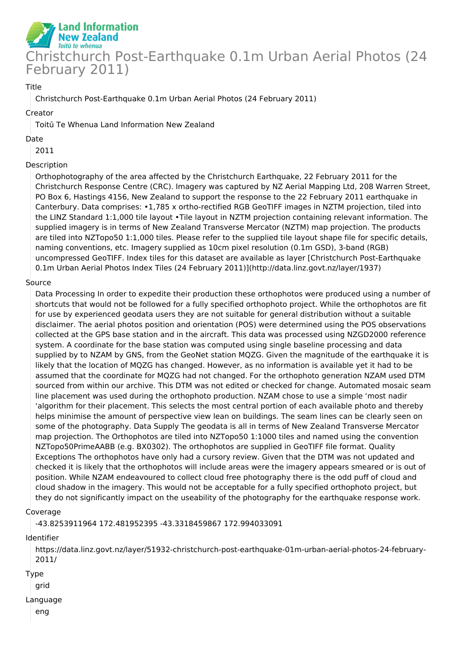

### Title

Christchurch Post-Earthquake 0.1m Urban Aerial Photos (24 February 2011)

#### Creator

Toitū Te Whenua Land Information New Zealand

### Date

2011

## Description

Orthophotography of the area affected by the Christchurch Earthquake, 22 February 2011 for the Christchurch Response Centre (CRC). Imagery was captured by NZ Aerial Mapping Ltd, 208 Warren Street, PO Box 6, Hastings 4156, New Zealand to support the response to the 22 February 2011 earthquake in Canterbury. Data comprises: •1,785 x ortho-rectified RGB GeoTIFF images in NZTM projection, tiled into the LINZ Standard 1:1,000 tile layout •Tile layout in NZTM projection containing relevant information. The supplied imagery is in terms of New Zealand Transverse Mercator (NZTM) map projection. The products are tiled into NZTopo50 1:1,000 tiles. Please refer to the supplied tile layout shape file for specific details, naming conventions, etc. Imagery supplied as 10cm pixel resolution (0.1m GSD), 3-band (RGB) uncompressed GeoTIFF. Index tiles for this dataset are available as layer [Christchurch Post-Earthquake 0.1m Urban Aerial Photos Index Tiles (24 February 2011)](http://data.linz.govt.nz/layer/1937)

### Source

Data Processing In order to expedite their production these orthophotos were produced using a number of shortcuts that would not be followed for a fully specified orthophoto project. While the orthophotos are fit for use by experienced geodata users they are not suitable for general distribution without a suitable disclaimer. The aerial photos position and orientation (POS) were determined using the POS observations collected at the GPS base station and in the aircraft. This data was processed using NZGD2000 reference system. A coordinate for the base station was computed using single baseline processing and data supplied by to NZAM by GNS, from the GeoNet station MQZG. Given the magnitude of the earthquake it is likely that the location of MQZG has changed. However, as no information is available yet it had to be assumed that the coordinate for MQZG had not changed. For the orthophoto generation NZAM used DTM sourced from within our archive. This DTM was not edited or checked for change. Automated mosaic seam line placement was used during the orthophoto production. NZAM chose to use a simple 'most nadir 'algorithm for their placement. This selects the most central portion of each available photo and thereby helps minimise the amount of perspective view lean on buildings. The seam lines can be clearly seen on some of the photography. Data Supply The geodata is all in terms of New Zealand Transverse Mercator map projection. The Orthophotos are tiled into NZTopo50 1:1000 tiles and named using the convention NZTopo50PrimeAABB (e.g. BX0302). The orthophotos are supplied in GeoTIFF file format. Quality Exceptions The orthophotos have only had a cursory review. Given that the DTM was not updated and checked it is likely that the orthophotos will include areas were the imagery appears smeared or is out of position. While NZAM endeavoured to collect cloud free photography there is the odd puff of cloud and cloud shadow in the imagery. This would not be acceptable for a fully specified orthophoto project, but they do not significantly impact on the useability of the photography for the earthquake response work.

### Coverage

-43.8253911964 172.481952395 -43.3318459867 172.994033091

Identifier

https://data.linz.govt.nz/layer/51932-christchurch-post-earthquake-01m-urban-aerial-photos-24-february-2011/

Type

grid

Language

eng